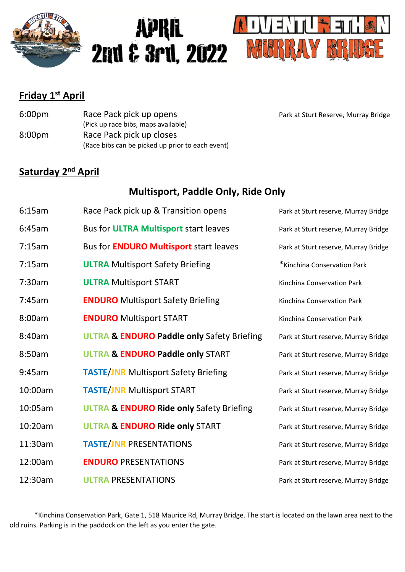

# **APRIL 2nd & 3rd, 2022**



### **Friday 1 st April**

| 6:00 <sub>pm</sub> | Race Pack pick up opens                          |  |
|--------------------|--------------------------------------------------|--|
|                    | (Pick up race bibs, maps available)              |  |
| 8:00 <sub>pm</sub> | Race Pack pick up closes                         |  |
|                    | (Race bibs can be picked up prior to each event) |  |

Park at Sturt Reserve, Murray Bridge

### **Saturday 2<sup>nd</sup> April**

### **Multisport, Paddle Only, Ride Only**

| 6:15am  | Race Pack pick up & Transition opens                  | Park at Sturt reserve, Murray Bridge |
|---------|-------------------------------------------------------|--------------------------------------|
| 6:45am  | Bus for <b>ULTRA Multisport</b> start leaves          | Park at Sturt reserve, Murray Bridge |
| 7:15am  | Bus for <b>ENDURO Multisport</b> start leaves         | Park at Sturt reserve, Murray Bridge |
| 7:15am  | <b>ULTRA</b> Multisport Safety Briefing               | *Kinchina Conservation Park          |
| 7:30am  | <b>ULTRA Multisport START</b>                         | Kinchina Conservation Park           |
| 7:45am  | <b>ENDURO</b> Multisport Safety Briefing              | Kinchina Conservation Park           |
| 8:00am  | <b>ENDURO</b> Multisport START                        | Kinchina Conservation Park           |
| 8:40am  | <b>ULTRA &amp; ENDURO Paddle only Safety Briefing</b> | Park at Sturt reserve, Murray Bridge |
| 8:50am  | <b>ULTRA &amp; ENDURO Paddle only START</b>           | Park at Sturt reserve, Murray Bridge |
| 9:45am  | <b>TASTE/JNR Multisport Safety Briefing</b>           | Park at Sturt reserve, Murray Bridge |
| 10:00am | <b>TASTE/JNR Multisport START</b>                     | Park at Sturt reserve, Murray Bridge |
| 10:05am | <b>ULTRA &amp; ENDURO Ride only Safety Briefing</b>   | Park at Sturt reserve, Murray Bridge |
| 10:20am | <b>ULTRA &amp; ENDURO Ride only START</b>             | Park at Sturt reserve, Murray Bridge |
| 11:30am | <b>TASTE/JNR PRESENTATIONS</b>                        | Park at Sturt reserve, Murray Bridge |
| 12:00am | <b>ENDURO PRESENTATIONS</b>                           | Park at Sturt reserve, Murray Bridge |
| 12:30am | <b>ULTRA PRESENTATIONS</b>                            | Park at Sturt reserve, Murray Bridge |

\*Kinchina Conservation Park, Gate 1, 518 Maurice Rd, Murray Bridge. The start is located on the lawn area next to the old ruins. Parking is in the paddock on the left as you enter the gate.